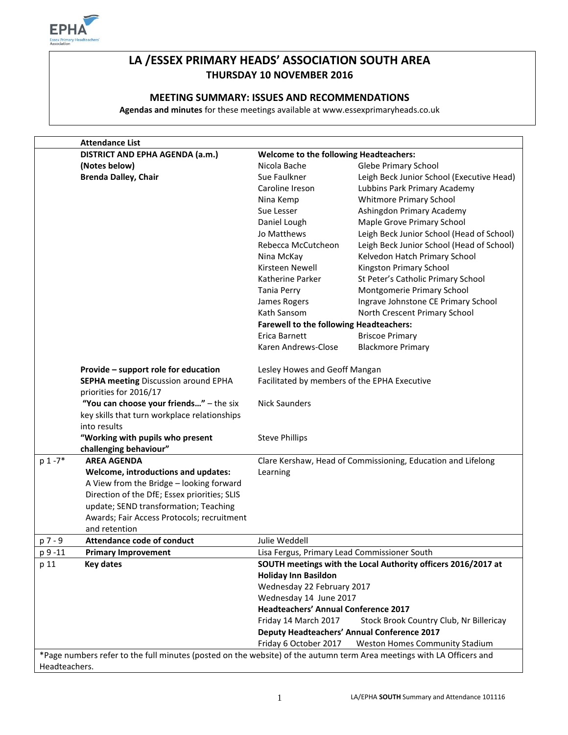

# **LA /ESSEX PRIMARY HEADS' ASSOCIATION SOUTH AREA THURSDAY 10 NOVEMBER 2016**

## **MEETING SUMMARY: ISSUES AND RECOMMENDATIONS**

**Agendas and minutes** for these meetings available at www.essexprimaryheads.co.uk

|               | <b>Attendance List</b>                                                                                                |                                                              |                                                               |  |
|---------------|-----------------------------------------------------------------------------------------------------------------------|--------------------------------------------------------------|---------------------------------------------------------------|--|
|               | DISTRICT AND EPHA AGENDA (a.m.)                                                                                       | Welcome to the following Headteachers:                       |                                                               |  |
|               | (Notes below)                                                                                                         | Nicola Bache                                                 | Glebe Primary School                                          |  |
|               | <b>Brenda Dalley, Chair</b>                                                                                           | Sue Faulkner                                                 | Leigh Beck Junior School (Executive Head)                     |  |
|               |                                                                                                                       | Caroline Ireson                                              | Lubbins Park Primary Academy                                  |  |
|               |                                                                                                                       | Nina Kemp                                                    | <b>Whitmore Primary School</b>                                |  |
|               |                                                                                                                       | Sue Lesser                                                   | Ashingdon Primary Academy                                     |  |
|               |                                                                                                                       | Daniel Lough                                                 | Maple Grove Primary School                                    |  |
|               |                                                                                                                       | Jo Matthews                                                  | Leigh Beck Junior School (Head of School)                     |  |
|               |                                                                                                                       | Rebecca McCutcheon                                           | Leigh Beck Junior School (Head of School)                     |  |
|               |                                                                                                                       | Nina McKay                                                   | Kelvedon Hatch Primary School                                 |  |
|               |                                                                                                                       | Kirsteen Newell                                              | Kingston Primary School                                       |  |
|               |                                                                                                                       | Katherine Parker                                             | St Peter's Catholic Primary School                            |  |
|               |                                                                                                                       | Tania Perry                                                  | Montgomerie Primary School                                    |  |
|               |                                                                                                                       | James Rogers                                                 | Ingrave Johnstone CE Primary School                           |  |
|               |                                                                                                                       | Kath Sansom                                                  | North Crescent Primary School                                 |  |
|               |                                                                                                                       | <b>Farewell to the following Headteachers:</b>               |                                                               |  |
|               |                                                                                                                       | Erica Barnett                                                | <b>Briscoe Primary</b>                                        |  |
|               |                                                                                                                       | Karen Andrews-Close                                          | <b>Blackmore Primary</b>                                      |  |
|               |                                                                                                                       |                                                              |                                                               |  |
|               | Provide - support role for education                                                                                  | Lesley Howes and Geoff Mangan                                |                                                               |  |
|               | <b>SEPHA meeting Discussion around EPHA</b>                                                                           | Facilitated by members of the EPHA Executive                 |                                                               |  |
|               | priorities for 2016/17                                                                                                |                                                              |                                                               |  |
|               | "You can choose your friends" - the six                                                                               | <b>Nick Saunders</b>                                         |                                                               |  |
|               | key skills that turn workplace relationships                                                                          |                                                              |                                                               |  |
|               | into results                                                                                                          |                                                              |                                                               |  |
|               | "Working with pupils who present                                                                                      | <b>Steve Phillips</b>                                        |                                                               |  |
|               | challenging behaviour"                                                                                                |                                                              |                                                               |  |
| $p 1 - 7*$    | <b>AREA AGENDA</b>                                                                                                    | Clare Kershaw, Head of Commissioning, Education and Lifelong |                                                               |  |
|               | Welcome, introductions and updates:                                                                                   | Learning                                                     |                                                               |  |
|               | A View from the Bridge - looking forward                                                                              |                                                              |                                                               |  |
|               | Direction of the DfE; Essex priorities; SLIS                                                                          |                                                              |                                                               |  |
|               | update; SEND transformation; Teaching                                                                                 |                                                              |                                                               |  |
|               | Awards; Fair Access Protocols; recruitment                                                                            |                                                              |                                                               |  |
|               | and retention                                                                                                         |                                                              |                                                               |  |
| p 7 - 9       | <b>Attendance code of conduct</b>                                                                                     | Julie Weddell                                                |                                                               |  |
| p 9 -11       | <b>Primary Improvement</b>                                                                                            | Lisa Fergus, Primary Lead Commissioner South                 |                                                               |  |
| p 11          | <b>Key dates</b>                                                                                                      |                                                              | SOUTH meetings with the Local Authority officers 2016/2017 at |  |
|               |                                                                                                                       | <b>Holiday Inn Basildon</b>                                  |                                                               |  |
|               |                                                                                                                       | Wednesday 22 February 2017                                   |                                                               |  |
|               |                                                                                                                       | Wednesday 14 June 2017                                       |                                                               |  |
|               |                                                                                                                       | <b>Headteachers' Annual Conference 2017</b>                  |                                                               |  |
|               |                                                                                                                       | Friday 14 March 2017                                         | Stock Brook Country Club, Nr Billericay                       |  |
|               |                                                                                                                       |                                                              | <b>Deputy Headteachers' Annual Conference 2017</b>            |  |
|               |                                                                                                                       | Friday 6 October 2017                                        | Weston Homes Community Stadium                                |  |
|               | *Page numbers refer to the full minutes (posted on the website) of the autumn term Area meetings with LA Officers and |                                                              |                                                               |  |
| Headteachers. |                                                                                                                       |                                                              |                                                               |  |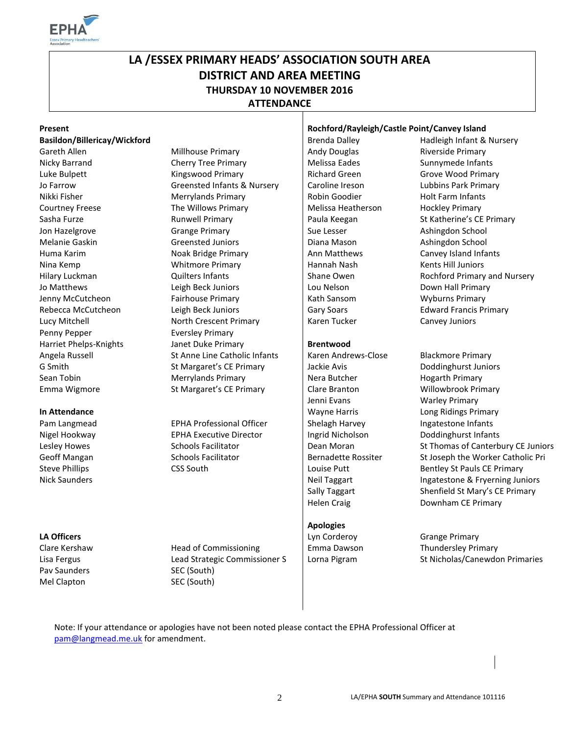

# **LA /ESSEX PRIMARY HEADS' ASSOCIATION SOUTH AREA DISTRICT AND AREA MEETING THURSDAY 10 NOVEMBER 2016 ATTENDANCE**

#### **Basildon/Billericay/Wickford Brenda Dalley** Brenda Dalley **Hadleigh Infant & Nursery**

Gareth Allen **Millhouse Primary** Andy Douglas Riverside Primary Riverside Primary Penny Pepper **Eversley Primary** Emma Wigmore St Margaret's CE Primary Clare Branton Willowbrook Primary

Pav Saunders SEC (South) Mel Clapton SEC (South)

Nicky Barrand **Cherry Tree Primary Cherry Tree Primary** Melissa Eades Sunnymede Infants Luke Bulpett **Kingswood Primary** Richard Green Grove Wood Primary **Richard Green** Jo Farrow Same Greensted Infants & Nursery Caroline Ireson Lubbins Park Primary Nikki Fisher **Merrylands Primary Francisc** Robin Goodier Holt Farm Infants Courtney Freese The Willows Primary Melissa Heatherson Hockley Primary New York Sasha Furze **Runwell Primary** Paula Keegan St Katherine's CE Primary **Paula Keegan** St Katherine's CE Primary Jon Hazelgrove Grange Primary Sue Lesser Ashingdon School Melanie Gaskin Greensted Juniors | Diana Mason Ashingdon School Huma Karim **Noak Bridge Primary** Ann Matthews Canvey Island Infants Nina Kemp **Nina Kemp** Whitmore Primary **Hannah Nash** Kents Hill Juniors Jo Matthews Leigh Beck Juniors Lou Nelson Down Hall Primary Jenny McCutcheon **Fairhouse Primary** Fairhouse Primary **Kath Sansom** Wyburns Primary Rebecca McCutcheon Leigh Beck Juniors | Gary Soars Edward Francis Primary Lucy Mitchell **North Crescent Primary Canvey Juniors** Karen Tucker Canvey Juniors Harriet Phelps-Knights Janet Duke Primary **Brentwood** Angela Russell St Anne Line Catholic Infants Raten Andrews-Close Blackmore Primary G Smith St Margaret's CE Primary Figures Avis Avis Doddinghurst Juniors CE Primary Figures Avis Doddinghurst Juniors Sean Tobin **Merrylands Primary Communist Communist Communist Communist Communist Communist Communist Communist Communist Communist Communist Communist Communist Communist Communist Communist Communist Communist Communist C** 

Pam Langmead **Interpretional EPHA Professional Officer** Shelagh Harvey **Ingatestone Infants** Nigel Hookway **EPHA Executive Director** Ingrid Nicholson Doddinghurst Infants

Clare Kershaw **Head of Commissioning Clare Kershaw** Thundersley Primary

#### **Present Rochford/Rayleigh/Castle Point/Canvey Island**

Jenni Evans Warley Primary **In Attendance In Attendance In Attendance In Attendance In Attendance In Attendance In Attendance In Attendance In Attendance In Attendance In Attendance In Attendance In Attendance In Attendance** 

#### **Apologies**

Hilary Luckman **Example 2 Cuilters Infants** Cuilters Infants Shane Owen Rochford Primary and Nursery

Lesley Howes Schools Facilitator Dean Moran St Thomas of Canterbury CE Juniors Geoff Mangan Schools Facilitator Bernadette Rossiter St Joseph the Worker Catholic Pri Steve Phillips **CSS South** CSS South **Louise Putt** Bentley St Pauls CE Primary Nick Saunders **New Sounders** Neil Taggart **Neil Taggart** Ingatestone & Fryerning Juniors Sally Taggart Shenfield St Mary's CE Primary Helen Craig **Downham CE Primary** 

**LA Officers** Grange Primary Grange Primary **Lyn Corderoy** Grange Primary Grange Primary Lisa Fergus **Lead Strategic Commissioner S** Lorna Pigram St Nicholas/Canewdon Primaries

Note: If your attendance or apologies have not been noted please contact the EPHA Professional Officer at [pam@langmead.me.uk](mailto:pam@langmead.me.uk) for amendment.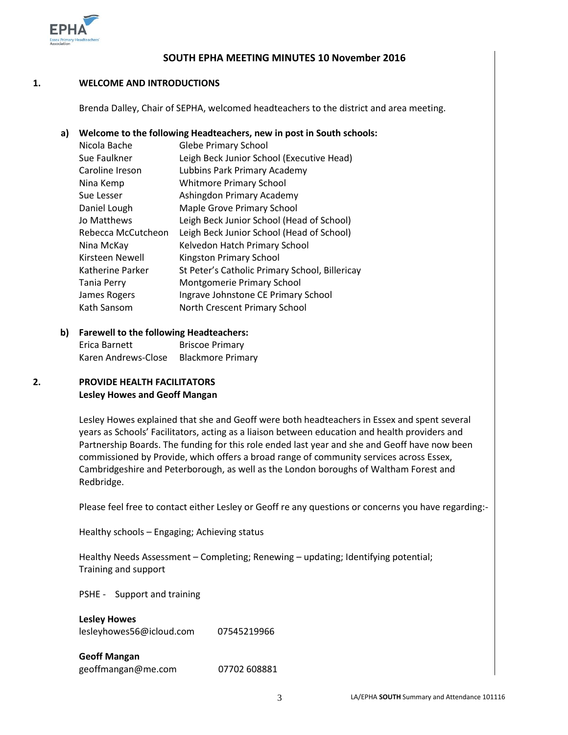

#### **SOUTH EPHA MEETING MINUTES 10 November 2016**

#### **1. WELCOME AND INTRODUCTIONS**

Brenda Dalley, Chair of SEPHA, welcomed headteachers to the district and area meeting.

### **a) Welcome to the following Headteachers, new in post in South schools:**

| Nicola Bache       | <b>Glebe Primary School</b>                    |  |
|--------------------|------------------------------------------------|--|
| Sue Faulkner       | Leigh Beck Junior School (Executive Head)      |  |
| Caroline Ireson    | Lubbins Park Primary Academy                   |  |
| Nina Kemp          | <b>Whitmore Primary School</b>                 |  |
| Sue Lesser         | Ashingdon Primary Academy                      |  |
| Daniel Lough       | Maple Grove Primary School                     |  |
| Jo Matthews        | Leigh Beck Junior School (Head of School)      |  |
| Rebecca McCutcheon | Leigh Beck Junior School (Head of School)      |  |
| Nina McKay         | Kelvedon Hatch Primary School                  |  |
| Kirsteen Newell    | Kingston Primary School                        |  |
| Katherine Parker   | St Peter's Catholic Primary School, Billericay |  |
| <b>Tania Perry</b> | Montgomerie Primary School                     |  |
| James Rogers       | Ingrave Johnstone CE Primary School            |  |
| Kath Sansom        | North Crescent Primary School                  |  |

### **b) Farewell to the following Headteachers:**

Erica Barnett Briscoe Primary Karen Andrews-Close Blackmore Primary

#### **2. PROVIDE HEALTH FACILITATORS Lesley Howes and Geoff Mangan**

Lesley Howes explained that she and Geoff were both headteachers in Essex and spent several years as Schools' Facilitators, acting as a liaison between education and health providers and Partnership Boards. The funding for this role ended last year and she and Geoff have now been commissioned by Provide, which offers a broad range of community services across Essex, Cambridgeshire and Peterborough, as well as the London boroughs of Waltham Forest and Redbridge.

Please feel free to contact either Lesley or Geoff re any questions or concerns you have regarding:-

Healthy schools – Engaging; Achieving status

Healthy Needs Assessment – Completing; Renewing – updating; Identifying potential; Training and support

PSHE - Support and training

#### **Lesley Howes**

[lesleyhowes56@icloud.com](mailto:lesleyhowes56@icloud.com) 07545219966

**Geoff Mangan** <geoffmangan@me.com>07702 608881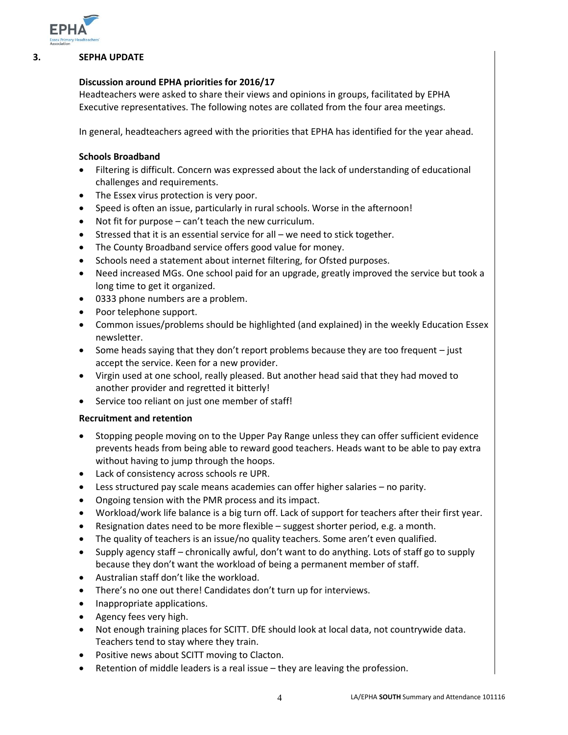

#### **3. SEPHA UPDATE**

#### **Discussion around EPHA priorities for 2016/17**

Headteachers were asked to share their views and opinions in groups, facilitated by EPHA Executive representatives. The following notes are collated from the four area meetings.

In general, headteachers agreed with the priorities that EPHA has identified for the year ahead.

#### **Schools Broadband**

- Filtering is difficult. Concern was expressed about the lack of understanding of educational challenges and requirements.
- The Essex virus protection is very poor.
- Speed is often an issue, particularly in rural schools. Worse in the afternoon!
- Not fit for purpose can't teach the new curriculum.
- Stressed that it is an essential service for all we need to stick together.
- The County Broadband service offers good value for money.
- Schools need a statement about internet filtering, for Ofsted purposes.
- Need increased MGs. One school paid for an upgrade, greatly improved the service but took a long time to get it organized.
- 0333 phone numbers are a problem.
- Poor telephone support.
- Common issues/problems should be highlighted (and explained) in the weekly Education Essex newsletter.
- $\bullet$  Some heads saying that they don't report problems because they are too frequent  $-$  just accept the service. Keen for a new provider.
- Virgin used at one school, really pleased. But another head said that they had moved to another provider and regretted it bitterly!
- Service too reliant on just one member of staff!

#### **Recruitment and retention**

- Stopping people moving on to the Upper Pay Range unless they can offer sufficient evidence prevents heads from being able to reward good teachers. Heads want to be able to pay extra without having to jump through the hoops.
- Lack of consistency across schools re UPR.
- Less structured pay scale means academies can offer higher salaries no parity.
- Ongoing tension with the PMR process and its impact.
- Workload/work life balance is a big turn off. Lack of support for teachers after their first year.
- Resignation dates need to be more flexible suggest shorter period, e.g. a month.
- The quality of teachers is an issue/no quality teachers. Some aren't even qualified.
- Supply agency staff chronically awful, don't want to do anything. Lots of staff go to supply because they don't want the workload of being a permanent member of staff.
- Australian staff don't like the workload.
- There's no one out there! Candidates don't turn up for interviews.
- Inappropriate applications.
- Agency fees very high.
- Not enough training places for SCITT. DfE should look at local data, not countrywide data. Teachers tend to stay where they train.
- Positive news about SCITT moving to Clacton.
- Retention of middle leaders is a real issue they are leaving the profession.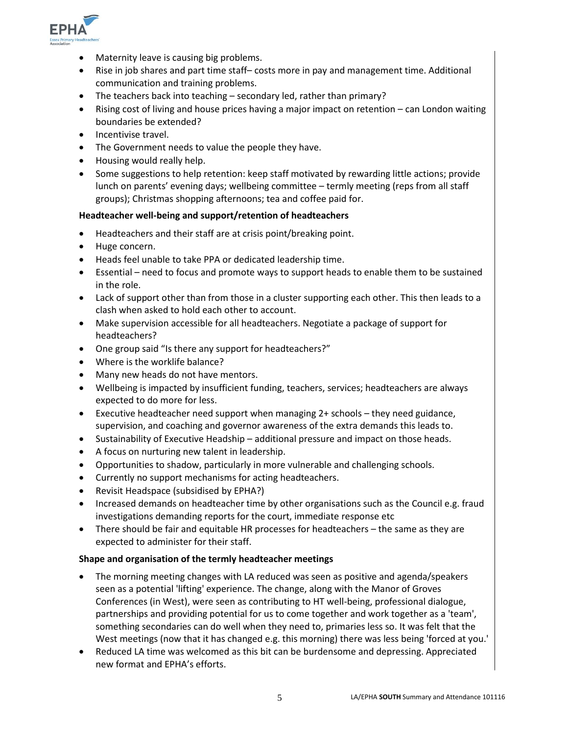

- Maternity leave is causing big problems.
- Rise in job shares and part time staff– costs more in pay and management time. Additional communication and training problems.
- The teachers back into teaching secondary led, rather than primary?
- Rising cost of living and house prices having a major impact on retention can London waiting boundaries be extended?
- Incentivise travel.
- The Government needs to value the people they have.
- Housing would really help.
- Some suggestions to help retention: keep staff motivated by rewarding little actions; provide lunch on parents' evening days; wellbeing committee – termly meeting (reps from all staff groups); Christmas shopping afternoons; tea and coffee paid for.

#### **Headteacher well-being and support/retention of headteachers**

- Headteachers and their staff are at crisis point/breaking point.
- Huge concern.
- Heads feel unable to take PPA or dedicated leadership time.
- Essential need to focus and promote ways to support heads to enable them to be sustained in the role.
- Lack of support other than from those in a cluster supporting each other. This then leads to a clash when asked to hold each other to account.
- Make supervision accessible for all headteachers. Negotiate a package of support for headteachers?
- One group said "Is there any support for headteachers?"
- Where is the worklife balance?
- Many new heads do not have mentors.
- Wellbeing is impacted by insufficient funding, teachers, services; headteachers are always expected to do more for less.
- Executive headteacher need support when managing 2+ schools they need guidance, supervision, and coaching and governor awareness of the extra demands this leads to.
- Sustainability of Executive Headship additional pressure and impact on those heads.
- A focus on nurturing new talent in leadership.
- Opportunities to shadow, particularly in more vulnerable and challenging schools.
- Currently no support mechanisms for acting headteachers.
- Revisit Headspace (subsidised by EPHA?)
- Increased demands on headteacher time by other organisations such as the Council e.g. fraud investigations demanding reports for the court, immediate response etc
- There should be fair and equitable HR processes for headteachers the same as they are expected to administer for their staff.

#### **Shape and organisation of the termly headteacher meetings**

- The morning meeting changes with LA reduced was seen as positive and agenda/speakers seen as a potential 'lifting' experience. The change, along with the Manor of Groves Conferences (in West), were seen as contributing to HT well-being, professional dialogue, partnerships and providing potential for us to come together and work together as a 'team', something secondaries can do well when they need to, primaries less so. It was felt that the West meetings (now that it has changed e.g. this morning) there was less being 'forced at you.'
- Reduced LA time was welcomed as this bit can be burdensome and depressing. Appreciated new format and EPHA's efforts.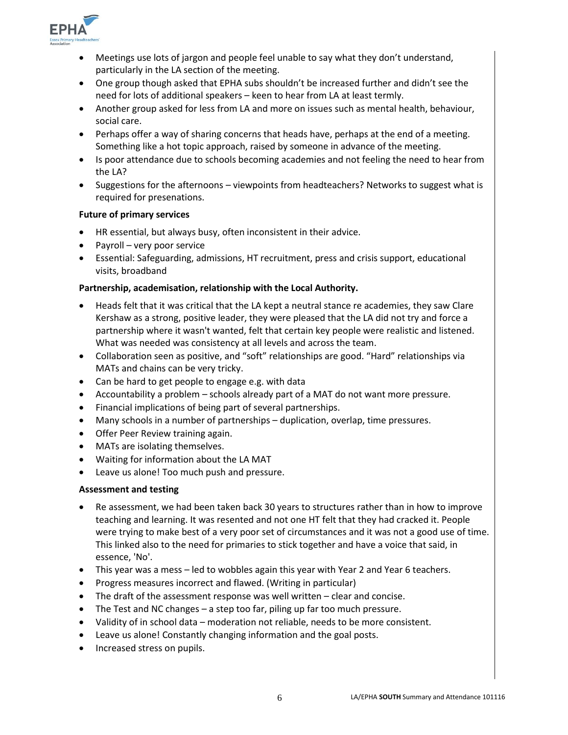

- Meetings use lots of jargon and people feel unable to say what they don't understand, particularly in the LA section of the meeting.
- One group though asked that EPHA subs shouldn't be increased further and didn't see the need for lots of additional speakers – keen to hear from LA at least termly.
- Another group asked for less from LA and more on issues such as mental health, behaviour, social care.
- Perhaps offer a way of sharing concerns that heads have, perhaps at the end of a meeting. Something like a hot topic approach, raised by someone in advance of the meeting.
- Is poor attendance due to schools becoming academies and not feeling the need to hear from the LA?
- Suggestions for the afternoons viewpoints from headteachers? Networks to suggest what is required for presenations.

#### **Future of primary services**

- HR essential, but always busy, often inconsistent in their advice.
- Payroll very poor service
- Essential: Safeguarding, admissions, HT recruitment, press and crisis support, educational visits, broadband

#### **Partnership, academisation, relationship with the Local Authority.**

- Heads felt that it was critical that the LA kept a neutral stance re academies, they saw Clare Kershaw as a strong, positive leader, they were pleased that the LA did not try and force a partnership where it wasn't wanted, felt that certain key people were realistic and listened. What was needed was consistency at all levels and across the team.
- Collaboration seen as positive, and "soft" relationships are good. "Hard" relationships via MATs and chains can be very tricky.
- Can be hard to get people to engage e.g. with data
- Accountability a problem schools already part of a MAT do not want more pressure.
- Financial implications of being part of several partnerships.
- Many schools in a number of partnerships duplication, overlap, time pressures.
- Offer Peer Review training again.
- MATs are isolating themselves.
- Waiting for information about the LA MAT
- Leave us alone! Too much push and pressure.

#### **Assessment and testing**

- Re assessment, we had been taken back 30 years to structures rather than in how to improve teaching and learning. It was resented and not one HT felt that they had cracked it. People were trying to make best of a very poor set of circumstances and it was not a good use of time. This linked also to the need for primaries to stick together and have a voice that said, in essence, 'No'.
- This year was a mess led to wobbles again this year with Year 2 and Year 6 teachers.
- Progress measures incorrect and flawed. (Writing in particular)
- The draft of the assessment response was well written clear and concise.
- The Test and NC changes a step too far, piling up far too much pressure.
- Validity of in school data moderation not reliable, needs to be more consistent.
- Leave us alone! Constantly changing information and the goal posts.
- Increased stress on pupils.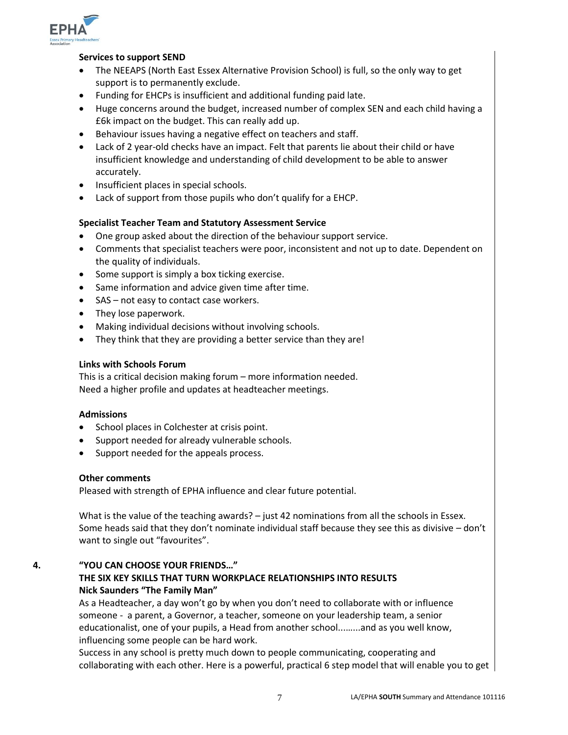

#### **Services to support SEND**

- The NEEAPS (North East Essex Alternative Provision School) is full, so the only way to get support is to permanently exclude.
- Funding for EHCPs is insufficient and additional funding paid late.
- Huge concerns around the budget, increased number of complex SEN and each child having a £6k impact on the budget. This can really add up.
- Behaviour issues having a negative effect on teachers and staff.
- Lack of 2 year-old checks have an impact. Felt that parents lie about their child or have insufficient knowledge and understanding of child development to be able to answer accurately.
- Insufficient places in special schools.
- Lack of support from those pupils who don't qualify for a EHCP.

#### **Specialist Teacher Team and Statutory Assessment Service**

- One group asked about the direction of the behaviour support service.
- Comments that specialist teachers were poor, inconsistent and not up to date. Dependent on the quality of individuals.
- Some support is simply a box ticking exercise.
- Same information and advice given time after time.
- SAS not easy to contact case workers.
- They lose paperwork.
- Making individual decisions without involving schools.
- They think that they are providing a better service than they are!

#### **Links with Schools Forum**

This is a critical decision making forum – more information needed. Need a higher profile and updates at headteacher meetings.

#### **Admissions**

- School places in Colchester at crisis point.
- Support needed for already vulnerable schools.
- Support needed for the appeals process.

#### **Other comments**

Pleased with strength of EPHA influence and clear future potential.

What is the value of the teaching awards? – just 42 nominations from all the schools in Essex. Some heads said that they don't nominate individual staff because they see this as divisive – don't want to single out "favourites".

### **4. "YOU CAN CHOOSE YOUR FRIENDS…" THE SIX KEY SKILLS THAT TURN WORKPLACE RELATIONSHIPS INTO RESULTS Nick Saunders "The Family Man"**

As a Headteacher, a day won't go by when you don't need to collaborate with or influence someone - a parent, a Governor, a teacher, someone on your leadership team, a senior educationalist, one of your pupils, a Head from another school...…...and as you well know, influencing some people can be hard work.

Success in any school is pretty much down to people communicating, cooperating and collaborating with each other. Here is a powerful, practical 6 step model that will enable you to get